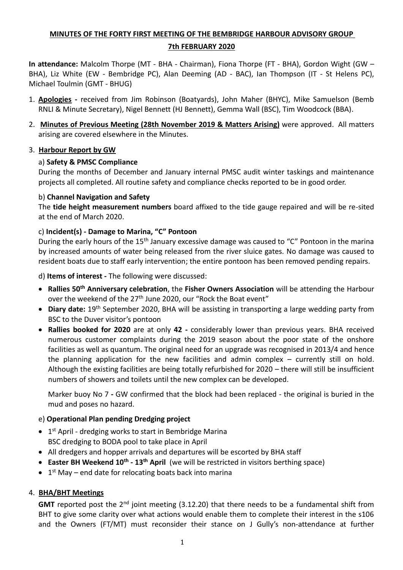# **MINUTES OF THE FORTY FIRST MEETING OF THE BEMBRIDGE HARBOUR ADVISORY GROUP 7th FEBRUARY 2020**

**In attendance:** Malcolm Thorpe (MT - BHA - Chairman), Fiona Thorpe (FT - BHA), Gordon Wight (GW – BHA), Liz White (EW - Bembridge PC), Alan Deeming (AD - BAC), Ian Thompson (IT - St Helens PC), Michael Toulmin (GMT - BHUG)

- 1. **Apologies -** received from Jim Robinson (Boatyards), John Maher (BHYC), Mike Samuelson (Bemb RNLI & Minute Secretary), Nigel Bennett (HJ Bennett), Gemma Wall (BSC), Tim Woodcock (BBA).
- 2. **Minutes of Previous Meeting (28th November 2019 & Matters Arising)** were approved. All matters arising are covered elsewhere in the Minutes.

## 3. **Harbour Report by GW**

## a) **Safety & PMSC Compliance**

During the months of December and January internal PMSC audit winter taskings and maintenance projects all completed. All routine safety and compliance checks reported to be in good order.

#### b) **Channel Navigation and Safety**

The **tide height measurement numbers** board affixed to the tide gauge repaired and will be re-sited at the end of March 2020.

#### c) **Incident(s) - Damage to Marina, "C" Pontoon**

During the early hours of the 15<sup>th</sup> January excessive damage was caused to "C" Pontoon in the marina by increased amounts of water being released from the river sluice gates. No damage was caused to resident boats due to staff early intervention; the entire pontoon has been removed pending repairs.

d) **Items of interest -** The following were discussed:

- **Rallies 50th Anniversary celebration**, the **Fisher Owners Association** will be attending the Harbour over the weekend of the 27<sup>th</sup> June 2020, our "Rock the Boat event"
- **Diary date:** 19th September 2020, BHA will be assisting in transporting a large wedding party from BSC to the Duver visitor's pontoon
- **Rallies booked for 2020** are at only **42 -** considerably lower than previous years. BHA received numerous customer complaints during the 2019 season about the poor state of the onshore facilities as well as quantum. The original need for an upgrade was recognised in 2013/4 and hence the planning application for the new facilities and admin complex – currently still on hold. Although the existing facilities are being totally refurbished for 2020 – there will still be insufficient numbers of showers and toilets until the new complex can be developed.

Marker buoy No 7 **-** GW confirmed that the block had been replaced - the original is buried in the mud and poses no hazard.

## e) **Operational Plan pending Dredging project**

- 1<sup>st</sup> April dredging works to start in Bembridge Marina BSC dredging to BODA pool to take place in April
- All dredgers and hopper arrivals and departures will be escorted by BHA staff
- **Easter BH Weekend 10th - 13th April** (we will be restricted in visitors berthing space)
- $\bullet$  1<sup>st</sup> May end date for relocating boats back into marina

## 4. **BHA/BHT Meetings**

**GMT** reported post the 2<sup>nd</sup> joint meeting (3.12.20) that there needs to be a fundamental shift from BHT to give some clarity over what actions would enable them to complete their interest in the s106 and the Owners (FT/MT) must reconsider their stance on J Gully's non-attendance at further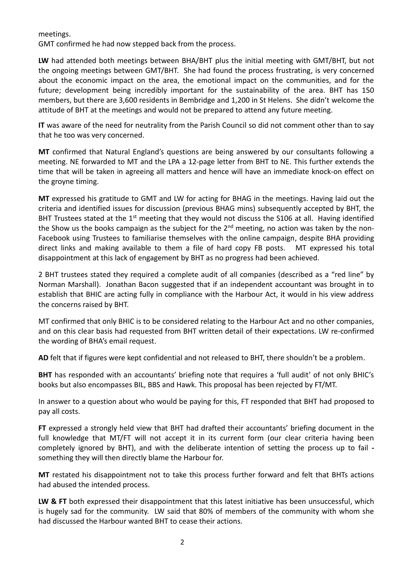#### meetings.

GMT confirmed he had now stepped back from the process.

**LW** had attended both meetings between BHA/BHT plus the initial meeting with GMT/BHT, but not the ongoing meetings between GMT/BHT. She had found the process frustrating, is very concerned about the economic impact on the area, the emotional impact on the communities, and for the future; development being incredibly important for the sustainability of the area. BHT has 150 members, but there are 3,600 residents in Bembridge and 1,200 in St Helens. She didn't welcome the attitude of BHT at the meetings and would not be prepared to attend any future meeting.

**IT** was aware of the need for neutrality from the Parish Council so did not comment other than to say that he too was very concerned.

**MT** confirmed that Natural England's questions are being answered by our consultants following a meeting. NE forwarded to MT and the LPA a 12-page letter from BHT to NE. This further extends the time that will be taken in agreeing all matters and hence will have an immediate knock-on effect on the groyne timing.

**MT** expressed his gratitude to GMT and LW for acting for BHAG in the meetings. Having laid out the criteria and identified issues for discussion (previous BHAG mins) subsequently accepted by BHT, the BHT Trustees stated at the 1<sup>st</sup> meeting that they would not discuss the S106 at all. Having identified the Show us the books campaign as the subject for the 2<sup>nd</sup> meeting, no action was taken by the non-Facebook using Trustees to familiarise themselves with the online campaign, despite BHA providing direct links and making available to them a file of hard copy FB posts. MT expressed his total disappointment at this lack of engagement by BHT as no progress had been achieved.

2 BHT trustees stated they required a complete audit of all companies (described as a "red line" by Norman Marshall). Jonathan Bacon suggested that if an independent accountant was brought in to establish that BHIC are acting fully in compliance with the Harbour Act, it would in his view address the concerns raised by BHT.

MT confirmed that only BHIC is to be considered relating to the Harbour Act and no other companies, and on this clear basis had requested from BHT written detail of their expectations. LW re-confirmed the wording of BHA's email request.

**AD** felt that if figures were kept confidential and not released to BHT, there shouldn't be a problem.

**BHT** has responded with an accountants' briefing note that requires a 'full audit' of not only BHIC's books but also encompasses BIL, BBS and Hawk. This proposal has been rejected by FT/MT.

In answer to a question about who would be paying for this, FT responded that BHT had proposed to pay all costs.

**FT** expressed a strongly held view that BHT had drafted their accountants' briefing document in the full knowledge that MT/FT will not accept it in its current form (our clear criteria having been completely ignored by BHT), and with the deliberate intention of setting the process up to fail  something they will then directly blame the Harbour for.

**MT** restated his disappointment not to take this process further forward and felt that BHTs actions had abused the intended process.

**LW & FT** both expressed their disappointment that this latest initiative has been unsuccessful, which is hugely sad for the community. LW said that 80% of members of the community with whom she had discussed the Harbour wanted BHT to cease their actions.